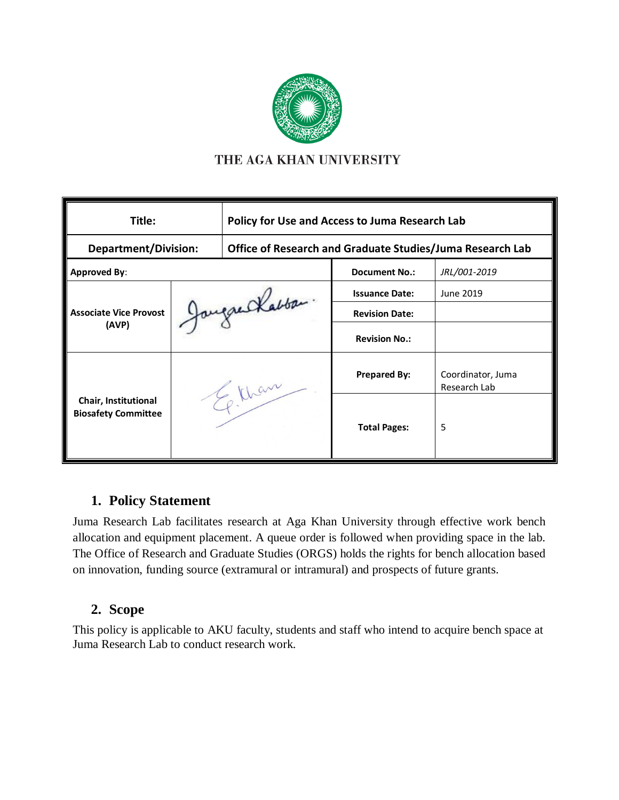

## THE AGA KHAN UNIVERSITY

| Title:                                             |                | Policy for Use and Access to Juma Research Lab            |                       |                                   |  |
|----------------------------------------------------|----------------|-----------------------------------------------------------|-----------------------|-----------------------------------|--|
| <b>Department/Division:</b>                        |                | Office of Research and Graduate Studies/Juma Research Lab |                       |                                   |  |
| <b>Approved By:</b>                                |                |                                                           | <b>Document No.:</b>  | JRL/001-2019                      |  |
| <b>Associate Vice Provost</b><br>(AVP)             | Jaugue Kabbar. |                                                           | <b>Issuance Date:</b> | June 2019                         |  |
|                                                    |                |                                                           | <b>Revision Date:</b> |                                   |  |
|                                                    |                |                                                           | <b>Revision No.:</b>  |                                   |  |
| Chair, Institutional<br><b>Biosafety Committee</b> | 30 Mars        |                                                           | <b>Prepared By:</b>   | Coordinator, Juma<br>Research Lab |  |
|                                                    |                |                                                           | <b>Total Pages:</b>   | 5                                 |  |

# **1. Policy Statement**

Juma Research Lab facilitates research at Aga Khan University through effective work bench allocation and equipment placement. A queue order is followed when providing space in the lab. The Office of Research and Graduate Studies (ORGS) holds the rights for bench allocation based on innovation, funding source (extramural or intramural) and prospects of future grants.

### **2. Scope**

This policy is applicable to AKU faculty, students and staff who intend to acquire bench space at Juma Research Lab to conduct research work.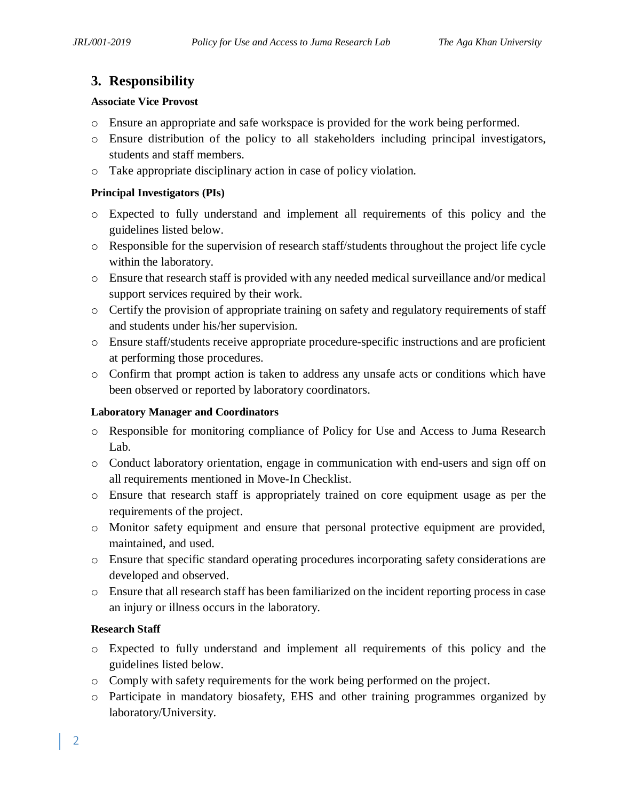# **3. Responsibility**

#### **Associate Vice Provost**

- o Ensure an appropriate and safe workspace is provided for the work being performed.
- o Ensure distribution of the policy to all stakeholders including principal investigators, students and staff members.
- o Take appropriate disciplinary action in case of policy violation.

#### **Principal Investigators (PIs)**

- o Expected to fully understand and implement all requirements of this policy and the guidelines listed below.
- o Responsible for the supervision of research staff/students throughout the project life cycle within the laboratory.
- o Ensure that research staff is provided with any needed medical surveillance and/or medical support services required by their work.
- o Certify the provision of appropriate training on safety and regulatory requirements of staff and students under his/her supervision.
- o Ensure staff/students receive appropriate procedure-specific instructions and are proficient at performing those procedures.
- o Confirm that prompt action is taken to address any unsafe acts or conditions which have been observed or reported by laboratory coordinators.

#### **Laboratory Manager and Coordinators**

- o Responsible for monitoring compliance of Policy for Use and Access to Juma Research Lab.
- o Conduct laboratory orientation, engage in communication with end-users and sign off on all requirements mentioned in Move-In Checklist.
- o Ensure that research staff is appropriately trained on core equipment usage as per the requirements of the project.
- o Monitor safety equipment and ensure that personal protective equipment are provided, maintained, and used.
- o Ensure that specific standard operating procedures incorporating safety considerations are developed and observed.
- o Ensure that all research staff has been familiarized on the incident reporting process in case an injury or illness occurs in the laboratory.

#### **Research Staff**

- o Expected to fully understand and implement all requirements of this policy and the guidelines listed below.
- o Comply with safety requirements for the work being performed on the project.
- o Participate in mandatory biosafety, EHS and other training programmes organized by laboratory/University.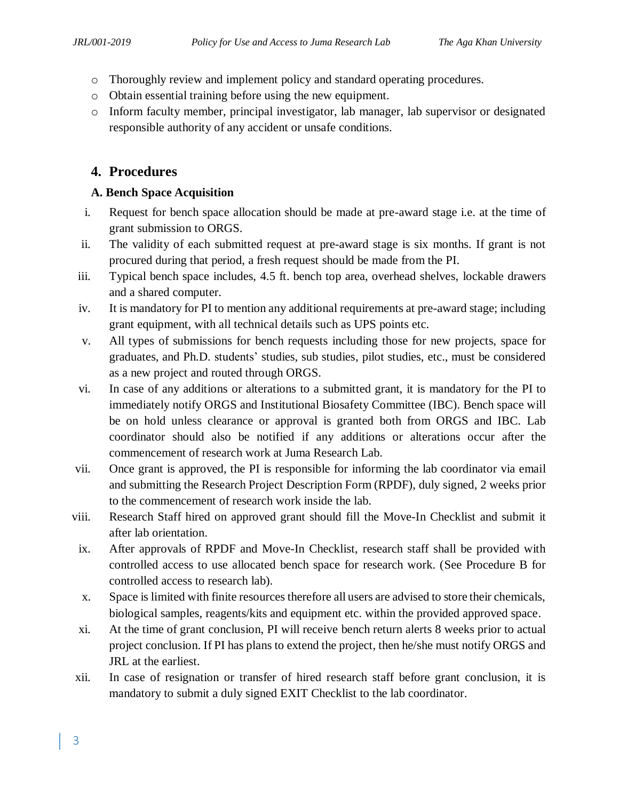- o Thoroughly review and implement policy and standard operating procedures.
- o Obtain essential training before using the new equipment.
- o Inform faculty member, principal investigator, lab manager, lab supervisor or designated responsible authority of any accident or unsafe conditions.

# **4. Procedures**

#### **A. Bench Space Acquisition**

- i. Request for bench space allocation should be made at pre-award stage i.e. at the time of grant submission to ORGS.
- ii. The validity of each submitted request at pre-award stage is six months. If grant is not procured during that period, a fresh request should be made from the PI.
- iii. Typical bench space includes, 4.5 ft. bench top area, overhead shelves, lockable drawers and a shared computer.
- iv. It is mandatory for PI to mention any additional requirements at pre-award stage; including grant equipment, with all technical details such as UPS points etc.
- v. All types of submissions for bench requests including those for new projects, space for graduates, and Ph.D. students' studies, sub studies, pilot studies, etc., must be considered as a new project and routed through ORGS.
- vi. In case of any additions or alterations to a submitted grant, it is mandatory for the PI to immediately notify ORGS and Institutional Biosafety Committee (IBC). Bench space will be on hold unless clearance or approval is granted both from ORGS and IBC. Lab coordinator should also be notified if any additions or alterations occur after the commencement of research work at Juma Research Lab.
- vii. Once grant is approved, the PI is responsible for informing the lab coordinator via email and submitting the Research Project Description Form (RPDF), duly signed, 2 weeks prior to the commencement of research work inside the lab.
- viii. Research Staff hired on approved grant should fill the Move-In Checklist and submit it after lab orientation.
- ix. After approvals of RPDF and Move-In Checklist, research staff shall be provided with controlled access to use allocated bench space for research work. (See Procedure B for controlled access to research lab).
- x. Space is limited with finite resources therefore all users are advised to store their chemicals, biological samples, reagents/kits and equipment etc. within the provided approved space.
- xi. At the time of grant conclusion, PI will receive bench return alerts 8 weeks prior to actual project conclusion. If PI has plans to extend the project, then he/she must notify ORGS and JRL at the earliest.
- xii. In case of resignation or transfer of hired research staff before grant conclusion, it is mandatory to submit a duly signed EXIT Checklist to the lab coordinator.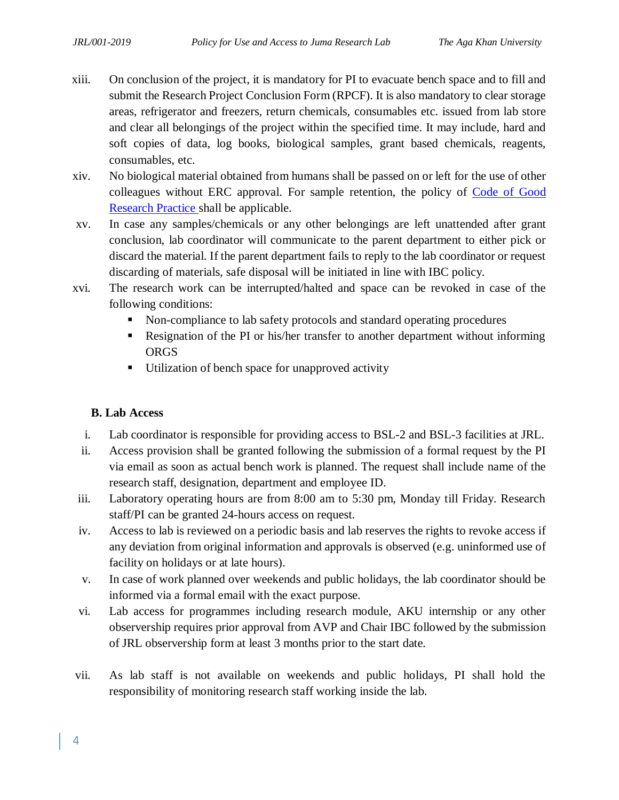- xiii. On conclusion of the project, it is mandatory for PI to evacuate bench space and to fill and submit the Research Project Conclusion Form (RPCF). It is also mandatory to clear storage areas, refrigerator and freezers, return chemicals, consumables etc. issued from lab store and clear all belongings of the project within the specified time. It may include, hard and soft copies of data, log books, biological samples, grant based chemicals, reagents, consumables, etc.
- xiv. No biological material obtained from humans shall be passed on or left for the use of other colleagues without ERC approval. For sample retention, the policy of Code of Good [Research Practice](https://www.aku.edu/research/policies/Documents/Policy%20on%20Code%20of%20Good%20Research%20Practice.pdf) shall be applicable.
- xv. In case any samples/chemicals or any other belongings are left unattended after grant conclusion, lab coordinator will communicate to the parent department to either pick or discard the material. If the parent department fails to reply to the lab coordinator or request discarding of materials, safe disposal will be initiated in line with IBC policy.
- xvi. The research work can be interrupted/halted and space can be revoked in case of the following conditions:
	- Non-compliance to lab safety protocols and standard operating procedures
	- Resignation of the PI or his/her transfer to another department without informing **ORGS**
	- Utilization of bench space for unapproved activity

### **B. Lab Access**

- i. Lab coordinator is responsible for providing access to BSL-2 and BSL-3 facilities at JRL.
- ii. Access provision shall be granted following the submission of a formal request by the PI via email as soon as actual bench work is planned. The request shall include name of the research staff, designation, department and employee ID.
- iii. Laboratory operating hours are from 8:00 am to 5:30 pm, Monday till Friday. Research staff/PI can be granted 24-hours access on request.
- iv. Access to lab is reviewed on a periodic basis and lab reserves the rights to revoke access if any deviation from original information and approvals is observed (e.g. uninformed use of facility on holidays or at late hours).
- v. In case of work planned over weekends and public holidays, the lab coordinator should be informed via a formal email with the exact purpose.
- vi. Lab access for programmes including research module, AKU internship or any other observership requires prior approval from AVP and Chair IBC followed by the submission of JRL observership form at least 3 months prior to the start date.
- vii. As lab staff is not available on weekends and public holidays, PI shall hold the responsibility of monitoring research staff working inside the lab.